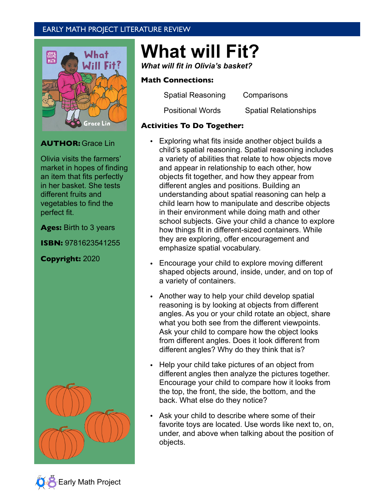# EARLY MATH PROJECT LITERATURE REVIEW



## **AUTHOR:** Grace Lin

Olivia visits the farmers' market in hopes of finding an item that fits perfectly in her basket. She tests different fruits and vegetables to find the perfect fit.

**Ages:** Birth to 3 years

**ISBN:** 9781623541255

**Copyright:** 2020



# **What will Fit?**

*What will fit in Olivia's basket?*

### **Math Connections:**

Spatial Reasoning Comparisons

Positional Words Spatial Relationships

## **Activities To Do Together:**

- Exploring what fits inside another object builds a child's spatial reasoning. Spatial reasoning includes a variety of abilities that relate to how objects move and appear in relationship to each other, how objects fit together, and how they appear from different angles and positions. Building an understanding about spatial reasoning can help a child learn how to manipulate and describe objects in their environment while doing math and other school subjects. Give your child a chance to explore how things fit in different-sized containers. While they are exploring, offer encouragement and emphasize spatial vocabulary.
- Encourage your child to explore moving different shaped objects around, inside, under, and on top of a variety of containers.
- Another way to help your child develop spatial reasoning is by looking at objects from different angles. As you or your child rotate an object, share what you both see from the different viewpoints. Ask your child to compare how the object looks from different angles. Does it look different from different angles? Why do they think that is?
- Help your child take pictures of an object from different angles then analyze the pictures together. Encourage your child to compare how it looks from the top, the front, the side, the bottom, and the back. What else do they notice?
- Ask your child to describe where some of their favorite toys are located. Use words like next to, on, under, and above when talking about the position of objects.

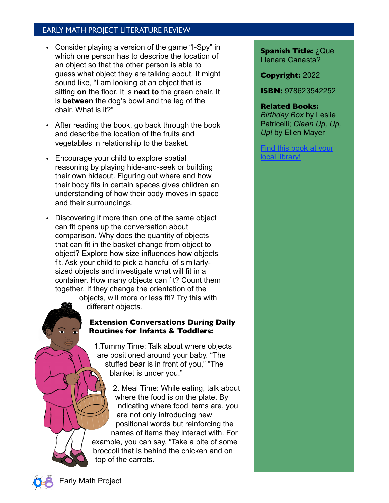## EARLY MATH PROJECT LITERATURE REVIEW

- Consider playing a version of the game "I-Spy" in which one person has to describe the location of an object so that the other person is able to guess what object they are talking about. It might sound like, "I am looking at an object that is sitting **on** the floor. It is **next to** the green chair. It is **between** the dog's bowl and the leg of the chair. What is it?"
- After reading the book, go back through the book and describe the location of the fruits and vegetables in relationship to the basket.
- Encourage your child to explore spatial reasoning by playing hide-and-seek or building their own hideout. Figuring out where and how their body fits in certain spaces gives children an understanding of how their body moves in space and their surroundings.
- Discovering if more than one of the same object can fit opens up the conversation about comparison. Why does the quantity of objects that can fit in the basket change from object to object? Explore how size influences how objects fit. Ask your child to pick a handful of similarlysized objects and investigate what will fit in a container. How many objects can fit? Count them together. If they change the orientation of the

objects, will more or less fit? Try this with different objects.

## **Extension Conversations During Daily Routines for Infants & Toddlers:**

1.Tummy Time: Talk about where objects are positioned around your baby. "The stuffed bear is in front of you," "The blanket is under you."

2. Meal Time: While eating, talk about where the food is on the plate. By indicating where food items are, you are not only introducing new positional words but reinforcing the names of items they interact with. For example, you can say, "Take a bite of some broccoli that is behind the chicken and on top of the carrots.

**Spanish Title:** ¿Que Llenara Canasta?

**Copyright:** 2022

**ISBN:** 978623542252

#### **Related Books:**

*Birthday Box* by Leslie Patricelli; *Clean Up, Up, Up!* by Ellen Mayer

[Find this book at your](https://www.worldcat.org/title/what-will-fit/oclc/1199074208?referer=di&ht=edition)  [local library!](https://www.worldcat.org/title/what-will-fit/oclc/1199074208?referer=di&ht=edition)